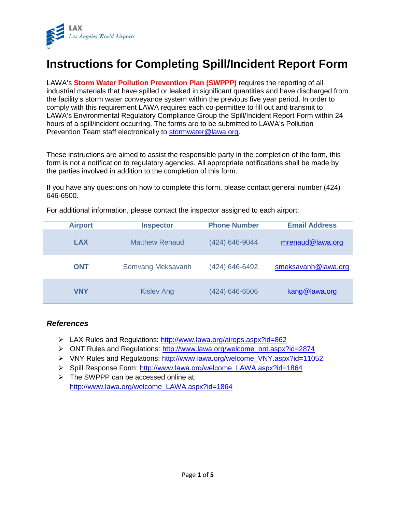

# **Instructions for Completing Spill/Incident Report Form**

LAWA's **Storm Water Pollution Prevention Plan (SWPPP)** requires the reporting of all industrial materials that have spilled or leaked in significant quantities and have discharged from the facility's storm water conveyance system within the previous five year period. In order to comply with this requirement LAWA requires each co-permittee to fill out and transmit to LAWA's Environmental Regulatory Compliance Group the Spill/Incident Report Form within 24 hours of a spill/incident occurring. The forms are to be submitted to LAWA's Pollution Prevention Team staff electronically to [stormwater@lawa.org.](mailto:stormwater@lawa.org)

These instructions are aimed to assist the responsible party in the completion of the form, this form is not a notification to regulatory agencies. All appropriate notifications shall be made by the parties involved in addition to the completion of this form.

If you have any questions on how to complete this form, please contact general number (424) 646-6500.

For additional information, please contact the inspector assigned to each airport:

| <b>Airport</b> | <b>Inspector</b>      | <b>Phone Number</b> | <b>Email Address</b> |
|----------------|-----------------------|---------------------|----------------------|
| <b>LAX</b>     | <b>Matthew Renaud</b> | (424) 646-9044      | mrenaud@lawa.org     |
| <b>ONT</b>     | Somvang Meksavanh     | (424) 646-6492      | smeksavanh@lawa.org  |
| <b>VNY</b>     | <b>Kislev Ang</b>     | (424) 646-6506      | kang@lawa.org        |

### *References*

- LAX Rules and Regulations:<http://www.lawa.org/airops.aspx?id=862>
- ONT Rules and Regulations: [http://www.lawa.org/welcome\\_ont.aspx?id=2874](http://www.lawa.org/welcome_ont.aspx?id=2874)
- VNY Rules and Regulations: [http://www.lawa.org/welcome\\_VNY.aspx?id=11052](http://www.lawa.org/welcome_VNY.aspx?id=11052)
- Spill Response Form: [http://www.lawa.org/welcome\\_LAWA.aspx?id=1864](http://www.lawa.org/welcome_LAWA.aspx?id=1864)
- $\triangleright$  The SWPPP can be accessed online at: [http://www.lawa.org/welcome\\_LAWA.aspx?id=1864](http://www.lawa.org/welcome_LAWA.aspx?id=1864)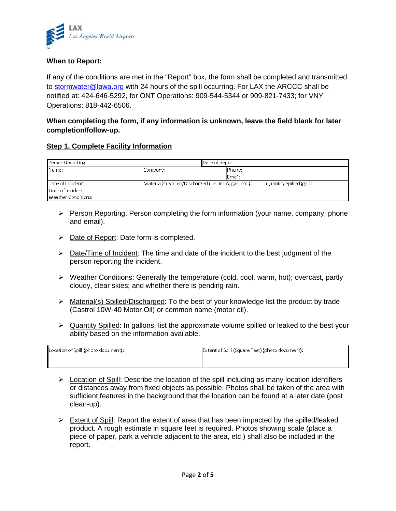

## **When to Report:**

If any of the conditions are met in the "Report" box, the form shall be completed and transmitted to [stormwater@lawa.org](mailto:stormwater@lawa.org) with 24 hours of the spill occurring. For LAX the ARCCC shall be notified at: 424-646-5292, for ONT Operations: 909-544-5344 or 909-821-7433; for VNY Operations: 818-442-6506.

# **When completing the form, if any information is unknown, leave the field blank for later completion/follow-up.**

### **Step 1. Complete Facility Information**

| Person Reporting    |                                                         | Date of Report: |         |                         |
|---------------------|---------------------------------------------------------|-----------------|---------|-------------------------|
| Name:               | Company:                                                |                 | lPhone: |                         |
|                     |                                                         |                 | Email:  |                         |
| Date of Incident:   | Material(s) Spilled/Discharged (i.e. Jet-A, gas, etc.): |                 |         | Quantity Spilled (gal): |
| Time of incident:   |                                                         |                 |         |                         |
| Weather Conditions: |                                                         |                 |         |                         |

- $\triangleright$  Person Reporting. Person completing the form information (your name, company, phone and email).
- $\triangleright$  Date of Report: Date form is completed.
- $\triangleright$  Date/Time of Incident: The time and date of the incident to the best judgment of the person reporting the incident.
- $\triangleright$  Weather Conditions: Generally the temperature (cold, cool, warm, hot); overcast, partly cloudy, clear skies; and whether there is pending rain.
- > Material(s) Spilled/Discharged: To the best of your knowledge list the product by trade (Castrol 10W-40 Motor Oil) or common name (motor oil).
- $\triangleright$  Quantity Spilled: In gallons, list the approximate volume spilled or leaked to the best your ability based on the information available.

| Location of Spill (photo document): | Extent of Spill (Square Feet) (photo document): |
|-------------------------------------|-------------------------------------------------|
|                                     |                                                 |

- $\triangleright$  Location of Spill: Describe the location of the spill including as many location identifiers or distances away from fixed objects as possible. Photos shall be taken of the area with sufficient features in the background that the location can be found at a later date (post clean-up).
- $\triangleright$  Extent of Spill: Report the extent of area that has been impacted by the spilled/leaked product. A rough estimate in square feet is required. Photos showing scale (place a piece of paper, park a vehicle adjacent to the area, etc.) shall also be included in the report.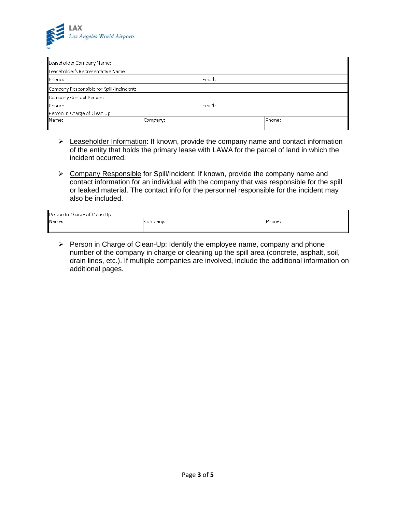

| Leaseholder Company Name:                |          |        |        |
|------------------------------------------|----------|--------|--------|
| Leaseholder's Representative Name:       |          |        |        |
| Phone:                                   |          | Email: |        |
| Company Responsible for Spill/Incindent: |          |        |        |
| Company Contact Person:                  |          |        |        |
| Phone:                                   |          | Email: |        |
| Person In Charge of Clean Up             |          |        |        |
| Name:                                    | Company: |        | Phone: |
|                                          |          |        |        |

- E Leaseholder Information: If known, provide the company name and contact information of the entity that holds the primary lease with LAWA for the parcel of land in which the incident occurred.
- Company Responsible for Spill/Incident: If known, provide the company name and contact information for an individual with the company that was responsible for the spill or leaked material. The contact info for the personnel responsible for the incident may also be included.

| Person In Charge of Clean Up |          |         |
|------------------------------|----------|---------|
| Name:                        | Company: | 'Phone: |

Person in Charge of Clean-Up: Identify the employee name, company and phone number of the company in charge or cleaning up the spill area (concrete, asphalt, soil, drain lines, etc.). If multiple companies are involved, include the additional information on additional pages.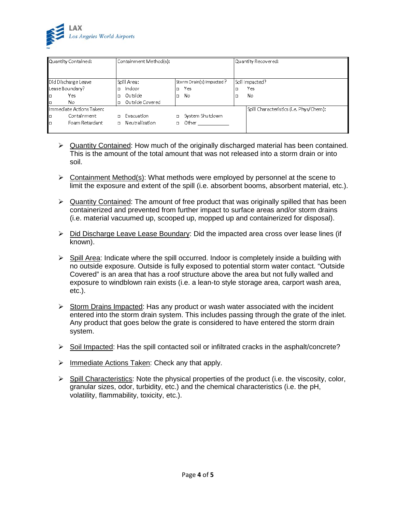

|    | Quantity Contained:      |        | Containment Method(s): |        |                          | Quantity Recovered:                     |
|----|--------------------------|--------|------------------------|--------|--------------------------|-----------------------------------------|
|    | Did Discharge Leave      |        | Spill Area:            |        | Storm Drain(s) Impacted? | Soil Impacted?                          |
|    | Lease Boundary?          | $\Box$ | Indoor                 |        | Yes                      | Yes                                     |
| ∎о | Yes                      | o      | Outside                |        | No.                      | No                                      |
| ∎  | No.                      | lo.    | Outside Covered        |        |                          |                                         |
|    | Immediate Actions Taken: |        |                        |        |                          | Spill Characteristics (i.e. Phys/Chem): |
| ∣□ | Containment              | $\Box$ | Evacuation             |        | System Shutdown          |                                         |
| ∎о | Foam Retardant           |        | n Neutralization       | $\Box$ | Other                    |                                         |

- $\triangleright$  Quantity Contained: How much of the originally discharged material has been contained. This is the amount of the total amount that was not released into a storm drain or into soil.
- $\triangleright$  Containment Method(s): What methods were employed by personnel at the scene to limit the exposure and extent of the spill (i.e. absorbent booms, absorbent material, etc.).
- $\triangleright$  Quantity Contained: The amount of free product that was originally spilled that has been containerized and prevented from further impact to surface areas and/or storm drains (i.e. material vacuumed up, scooped up, mopped up and containerized for disposal).
- $\triangleright$  Did Discharge Leave Lease Boundary: Did the impacted area cross over lease lines (if known).
- $\triangleright$  Spill Area: Indicate where the spill occurred. Indoor is completely inside a building with no outside exposure. Outside is fully exposed to potential storm water contact. "Outside Covered" is an area that has a roof structure above the area but not fully walled and exposure to windblown rain exists (i.e. a lean-to style storage area, carport wash area, etc.).
- $\triangleright$  Storm Drains Impacted: Has any product or wash water associated with the incident entered into the storm drain system. This includes passing through the grate of the inlet. Any product that goes below the grate is considered to have entered the storm drain system.
- $\triangleright$  Soil Impacted: Has the spill contacted soil or infiltrated cracks in the asphalt/concrete?
- $\triangleright$  Immediate Actions Taken: Check any that apply.
- $\triangleright$  Spill Characteristics: Note the physical properties of the product (i.e. the viscosity, color, granular sizes, odor, turbidity, etc.) and the chemical characteristics (i.e. the pH, volatility, flammability, toxicity, etc.).